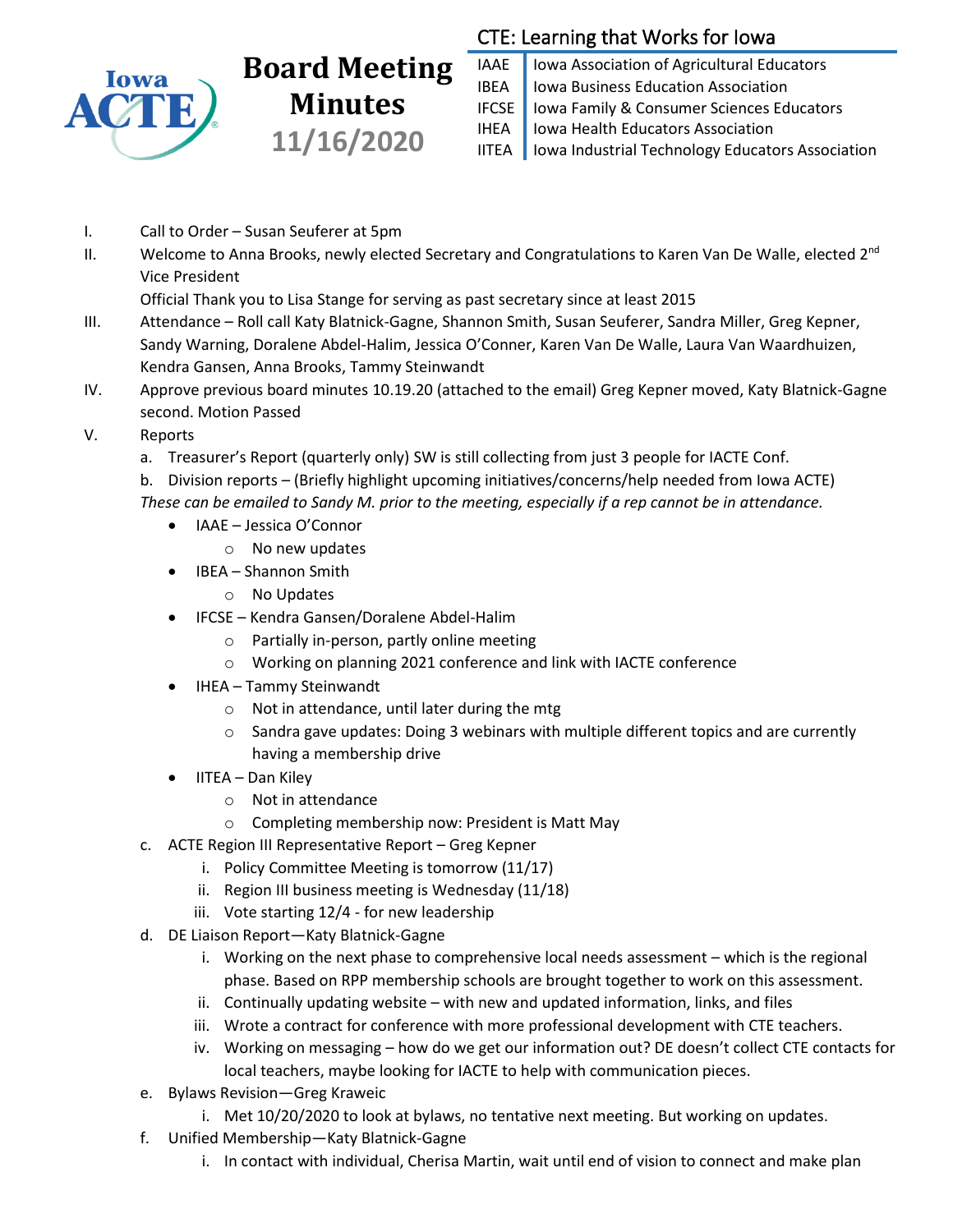

## **Board Meeting Minutes 11/16/2020**

## CTE: Learning that Works for Iowa

IAAE | Iowa Association of Agricultural Educators IBEA | Iowa Business Education Association IFCSE Iowa Family & Consumer Sciences Educators IHEA | Iowa Health Educators Association IITEA | Iowa Industrial Technology Educators Association

- I. Call to Order Susan Seuferer at 5pm
- II. Welcome to Anna Brooks, newly elected Secretary and Congratulations to Karen Van De Walle, elected 2<sup>nd</sup> Vice President

Official Thank you to Lisa Stange for serving as past secretary since at least 2015

- III. Attendance Roll call Katy Blatnick-Gagne, Shannon Smith, Susan Seuferer, Sandra Miller, Greg Kepner, Sandy Warning, Doralene Abdel-Halim, Jessica O'Conner, Karen Van De Walle, Laura Van Waardhuizen, Kendra Gansen, Anna Brooks, Tammy Steinwandt
- IV. Approve previous board minutes 10.19.20 (attached to the email) Greg Kepner moved, Katy Blatnick-Gagne second. Motion Passed
- V. Reports
	- a. Treasurer's Report (quarterly only) SW is still collecting from just 3 people for IACTE Conf.
	- b. Division reports (Briefly highlight upcoming initiatives/concerns/help needed from Iowa ACTE) *These can be emailed to Sandy M. prior to the meeting, especially if a rep cannot be in attendance.*
		- IAAE Jessica O'Connor
			- o No new updates
		- IBEA Shannon Smith
			- o No Updates
		- IFCSE Kendra Gansen/Doralene Abdel-Halim
			- o Partially in-person, partly online meeting
			- o Working on planning 2021 conference and link with IACTE conference
		- IHEA Tammy Steinwandt
			- o Not in attendance, until later during the mtg
			- $\circ$  Sandra gave updates: Doing 3 webinars with multiple different topics and are currently having a membership drive
		- IITEA Dan Kiley
			- o Not in attendance
			- o Completing membership now: President is Matt May
	- c. ACTE Region III Representative Report Greg Kepner
		- i. Policy Committee Meeting is tomorrow (11/17)
		- ii. Region III business meeting is Wednesday (11/18)
		- iii. Vote starting 12/4 for new leadership
	- d. DE Liaison Report—Katy Blatnick-Gagne
		- i. Working on the next phase to comprehensive local needs assessment which is the regional phase. Based on RPP membership schools are brought together to work on this assessment.
		- ii. Continually updating website with new and updated information, links, and files
		- iii. Wrote a contract for conference with more professional development with CTE teachers.
		- iv. Working on messaging how do we get our information out? DE doesn't collect CTE contacts for local teachers, maybe looking for IACTE to help with communication pieces.
	- e. Bylaws Revision—Greg Kraweic
		- i. Met 10/20/2020 to look at bylaws, no tentative next meeting. But working on updates.
	- f. Unified Membership—Katy Blatnick-Gagne
		- i. In contact with individual, Cherisa Martin, wait until end of vision to connect and make plan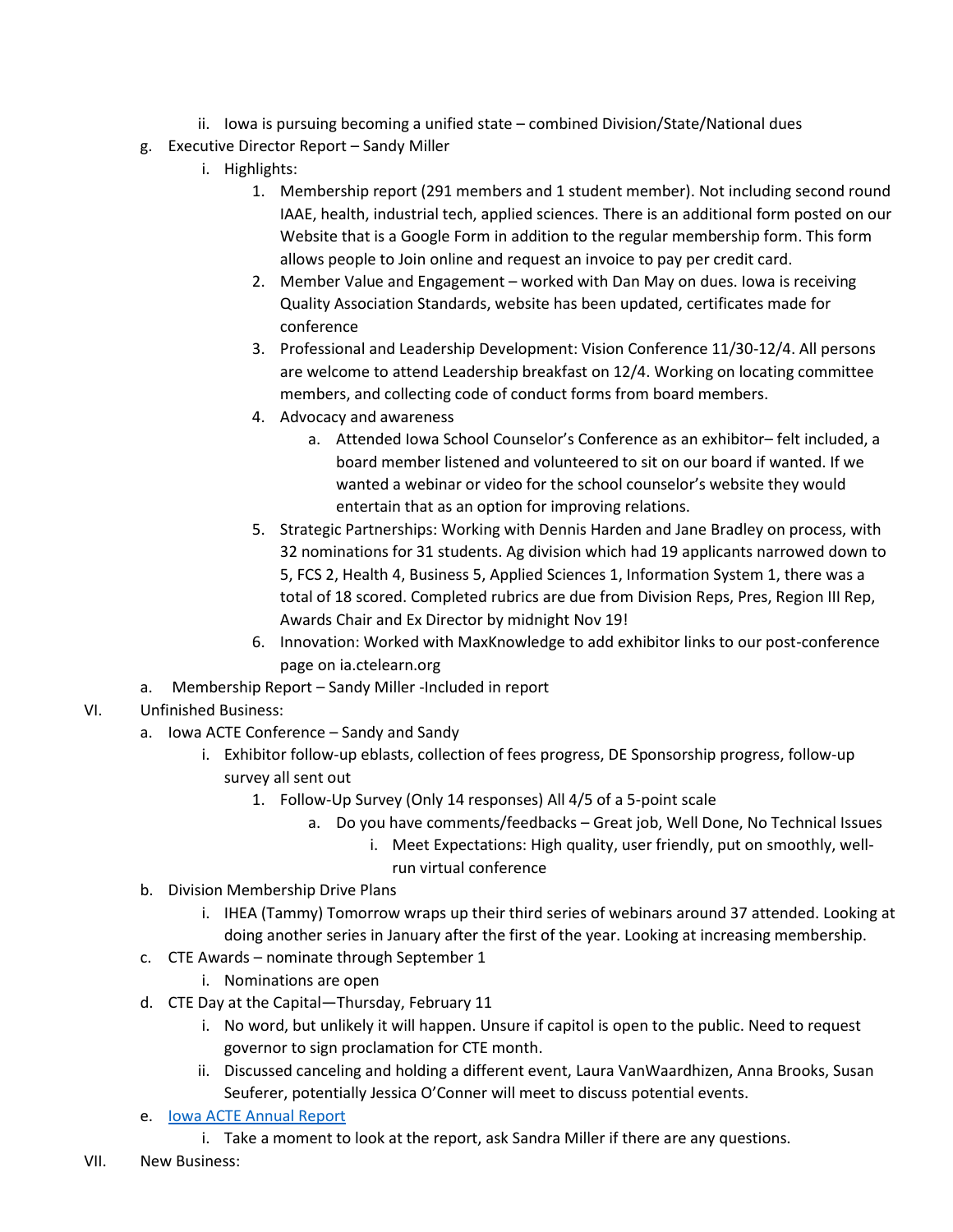- ii. Iowa is pursuing becoming a unified state combined Division/State/National dues
- g. Executive Director Report Sandy Miller
	- i. Highlights:
		- 1. Membership report (291 members and 1 student member). Not including second round IAAE, health, industrial tech, applied sciences. There is an additional form posted on our Website that is a Google Form in addition to the regular membership form. This form allows people to Join online and request an invoice to pay per credit card.
		- 2. Member Value and Engagement worked with Dan May on dues. Iowa is receiving Quality Association Standards, website has been updated, certificates made for conference
		- 3. Professional and Leadership Development: Vision Conference 11/30-12/4. All persons are welcome to attend Leadership breakfast on 12/4. Working on locating committee members, and collecting code of conduct forms from board members.
		- 4. Advocacy and awareness
			- a. Attended Iowa School Counselor's Conference as an exhibitor– felt included, a board member listened and volunteered to sit on our board if wanted. If we wanted a webinar or video for the school counselor's website they would entertain that as an option for improving relations.
		- 5. Strategic Partnerships: Working with Dennis Harden and Jane Bradley on process, with 32 nominations for 31 students. Ag division which had 19 applicants narrowed down to 5, FCS 2, Health 4, Business 5, Applied Sciences 1, Information System 1, there was a total of 18 scored. Completed rubrics are due from Division Reps, Pres, Region III Rep, Awards Chair and Ex Director by midnight Nov 19!
		- 6. Innovation: Worked with MaxKnowledge to add exhibitor links to our post-conference page on ia.ctelearn.org
- a. Membership Report Sandy Miller -Included in report

## VI. Unfinished Business:

- a. Iowa ACTE Conference Sandy and Sandy
	- i. Exhibitor follow-up eblasts, collection of fees progress, DE Sponsorship progress, follow-up survey all sent out
		- 1. Follow-Up Survey (Only 14 responses) All 4/5 of a 5-point scale
			- a. Do you have comments/feedbacks Great job, Well Done, No Technical Issues
				- i. Meet Expectations: High quality, user friendly, put on smoothly, wellrun virtual conference
- b. Division Membership Drive Plans
	- i. IHEA (Tammy) Tomorrow wraps up their third series of webinars around 37 attended. Looking at doing another series in January after the first of the year. Looking at increasing membership.
- c. CTE Awards nominate through September 1
	- i. Nominations are open
- d. CTE Day at the Capital—Thursday, February 11
	- i. No word, but unlikely it will happen. Unsure if capitol is open to the public. Need to request governor to sign proclamation for CTE month.
	- ii. Discussed canceling and holding a different event, Laura VanWaardhizen, Anna Brooks, Susan Seuferer, potentially Jessica O'Conner will meet to discuss potential events.
- e. [Iowa ACTE Annual Report](https://docs.google.com/document/d/1eZQpLwXu-3WDVgzb0YQeiU4k5_RKlIIE/edit)
	- i. Take a moment to look at the report, ask Sandra Miller if there are any questions.
- VII. New Business: